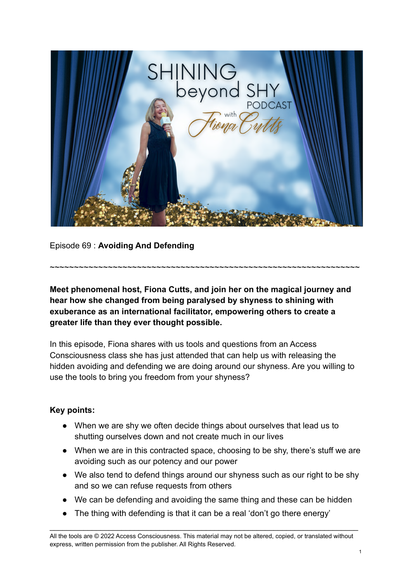

Episode 69 : **Avoiding And Defending**

**Meet phenomenal host, Fiona Cutts, and join her on the magical journey and hear how she changed from being paralysed by shyness to shining with exuberance as an international facilitator, empowering others to create a greater life than they ever thought possible.**

~~~~~~~~~~~~~~~~~~~~~~~~~~~~~~~~~~~~~~~~~~~~~~~~~~~~~~~~~~~~~~~~

In this episode, Fiona shares with us tools and questions from an Access Consciousness class she has just attended that can help us with releasing the hidden avoiding and defending we are doing around our shyness. Are you willing to use the tools to bring you freedom from your shyness?

## **Key points:**

- When we are shy we often decide things about ourselves that lead us to shutting ourselves down and not create much in our lives
- When we are in this contracted space, choosing to be shy, there's stuff we are avoiding such as our potency and our power
- We also tend to defend things around our shyness such as our right to be shy and so we can refuse requests from others
- We can be defending and avoiding the same thing and these can be hidden
- The thing with defending is that it can be a real 'don't go there energy'

All the tools are © 2022 Access Consciousness. This material may not be altered, copied, or translated without express, written permission from the publisher. All Rights Reserved.

\_\_\_\_\_\_\_\_\_\_\_\_\_\_\_\_\_\_\_\_\_\_\_\_\_\_\_\_\_\_\_\_\_\_\_\_\_\_\_\_\_\_\_\_\_\_\_\_\_\_\_\_\_\_\_\_\_\_\_\_\_\_\_\_\_\_\_\_\_\_\_\_\_